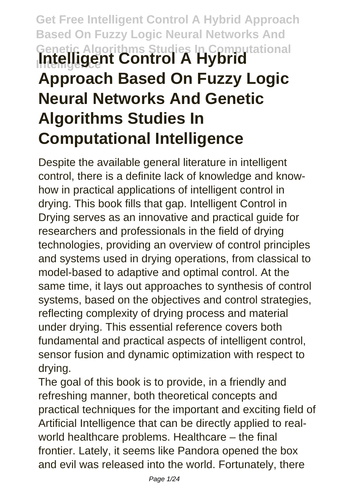# **Get Free Intelligent Control A Hybrid Approach Based On Fuzzy Logic Neural Networks And Genetic Algorithms Studies In Computational Intelligent Control A Hybrid Approach Based On Fuzzy Logic Neural Networks And Genetic Algorithms Studies In Computational Intelligence**

Despite the available general literature in intelligent control, there is a definite lack of knowledge and knowhow in practical applications of intelligent control in drying. This book fills that gap. Intelligent Control in Drying serves as an innovative and practical guide for researchers and professionals in the field of drying technologies, providing an overview of control principles and systems used in drying operations, from classical to model-based to adaptive and optimal control. At the same time, it lays out approaches to synthesis of control systems, based on the objectives and control strategies, reflecting complexity of drying process and material under drying. This essential reference covers both fundamental and practical aspects of intelligent control, sensor fusion and dynamic optimization with respect to drying.

The goal of this book is to provide, in a friendly and refreshing manner, both theoretical concepts and practical techniques for the important and exciting field of Artificial Intelligence that can be directly applied to realworld healthcare problems. Healthcare – the final frontier. Lately, it seems like Pandora opened the box and evil was released into the world. Fortunately, there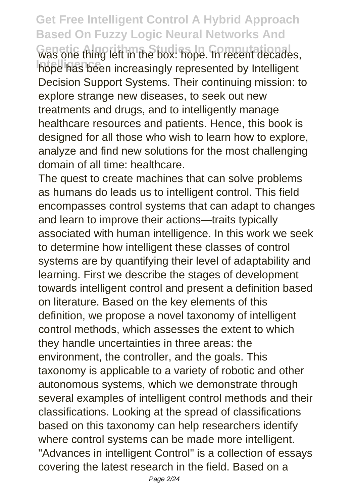**Get Free Intelligent Control A Hybrid Approach Based On Fuzzy Logic Neural Networks And Ges one thing left in the box: hope. In recent decades,** hope has been increasingly represented by Intelligent Decision Support Systems. Their continuing mission: to explore strange new diseases, to seek out new treatments and drugs, and to intelligently manage healthcare resources and patients. Hence, this book is designed for all those who wish to learn how to explore, analyze and find new solutions for the most challenging domain of all time: healthcare.

The quest to create machines that can solve problems as humans do leads us to intelligent control. This field encompasses control systems that can adapt to changes and learn to improve their actions—traits typically associated with human intelligence. In this work we seek to determine how intelligent these classes of control systems are by quantifying their level of adaptability and learning. First we describe the stages of development towards intelligent control and present a definition based on literature. Based on the key elements of this definition, we propose a novel taxonomy of intelligent control methods, which assesses the extent to which they handle uncertainties in three areas: the environment, the controller, and the goals. This taxonomy is applicable to a variety of robotic and other autonomous systems, which we demonstrate through several examples of intelligent control methods and their classifications. Looking at the spread of classifications based on this taxonomy can help researchers identify where control systems can be made more intelligent. "Advances in intelligent Control" is a collection of essays covering the latest research in the field. Based on a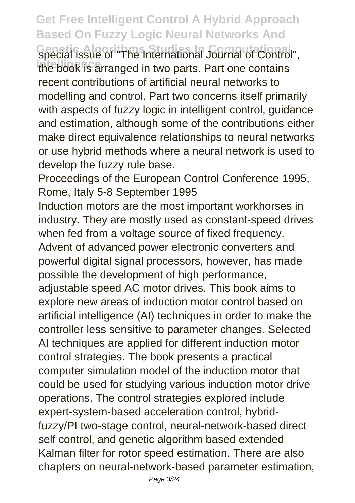**Genetic Algorithms Studies In Computational** special issue of "The International Journal of Control", the book is arranged in two parts. Part one contains recent contributions of artificial neural networks to modelling and control. Part two concerns itself primarily with aspects of fuzzy logic in intelligent control, guidance and estimation, although some of the contributions either make direct equivalence relationships to neural networks or use hybrid methods where a neural network is used to develop the fuzzy rule base.

Proceedings of the European Control Conference 1995, Rome, Italy 5-8 September 1995

Induction motors are the most important workhorses in industry. They are mostly used as constant-speed drives when fed from a voltage source of fixed frequency. Advent of advanced power electronic converters and powerful digital signal processors, however, has made

possible the development of high performance,

adjustable speed AC motor drives. This book aims to explore new areas of induction motor control based on artificial intelligence (AI) techniques in order to make the controller less sensitive to parameter changes. Selected AI techniques are applied for different induction motor control strategies. The book presents a practical computer simulation model of the induction motor that could be used for studying various induction motor drive operations. The control strategies explored include expert-system-based acceleration control, hybridfuzzy/PI two-stage control, neural-network-based direct self control, and genetic algorithm based extended Kalman filter for rotor speed estimation. There are also chapters on neural-network-based parameter estimation,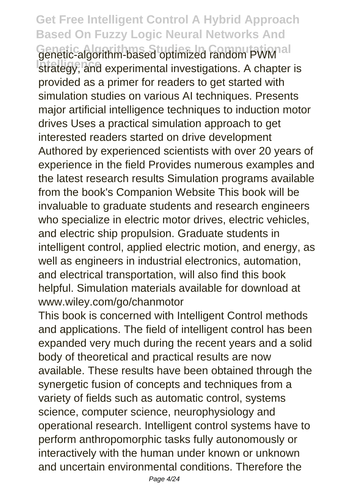#### **Get Free Intelligent Control A Hybrid Approach Based On Fuzzy Logic Neural Networks And** Genetic-algorithm-based optimized random PWM al strategy, and experimental investigations. A chapter is provided as a primer for readers to get started with simulation studies on various AI techniques. Presents major artificial intelligence techniques to induction motor drives Uses a practical simulation approach to get interested readers started on drive development Authored by experienced scientists with over 20 years of experience in the field Provides numerous examples and the latest research results Simulation programs available from the book's Companion Website This book will be invaluable to graduate students and research engineers who specialize in electric motor drives, electric vehicles, and electric ship propulsion. Graduate students in intelligent control, applied electric motion, and energy, as well as engineers in industrial electronics, automation, and electrical transportation, will also find this book helpful. Simulation materials available for download at www.wiley.com/go/chanmotor

This book is concerned with Intelligent Control methods and applications. The field of intelligent control has been expanded very much during the recent years and a solid body of theoretical and practical results are now available. These results have been obtained through the synergetic fusion of concepts and techniques from a variety of fields such as automatic control, systems science, computer science, neurophysiology and operational research. Intelligent control systems have to perform anthropomorphic tasks fully autonomously or interactively with the human under known or unknown and uncertain environmental conditions. Therefore the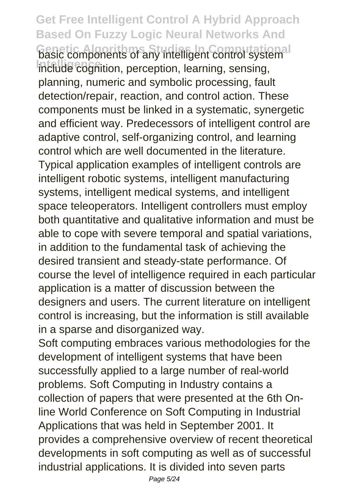**Get Free Intelligent Control A Hybrid Approach Based On Fuzzy Logic Neural Networks And Gasic components of any intelligent control systemal Include cognition, perception, learning, sensing,** planning, numeric and symbolic processing, fault detection/repair, reaction, and control action. These components must be linked in a systematic, synergetic and efficient way. Predecessors of intelligent control are adaptive control, self-organizing control, and learning control which are well documented in the literature. Typical application examples of intelligent controls are intelligent robotic systems, intelligent manufacturing systems, intelligent medical systems, and intelligent space teleoperators. Intelligent controllers must employ both quantitative and qualitative information and must be able to cope with severe temporal and spatial variations, in addition to the fundamental task of achieving the desired transient and steady-state performance. Of course the level of intelligence required in each particular application is a matter of discussion between the designers and users. The current literature on intelligent control is increasing, but the information is still available in a sparse and disorganized way.

Soft computing embraces various methodologies for the development of intelligent systems that have been successfully applied to a large number of real-world problems. Soft Computing in Industry contains a collection of papers that were presented at the 6th Online World Conference on Soft Computing in Industrial Applications that was held in September 2001. It provides a comprehensive overview of recent theoretical developments in soft computing as well as of successful industrial applications. It is divided into seven parts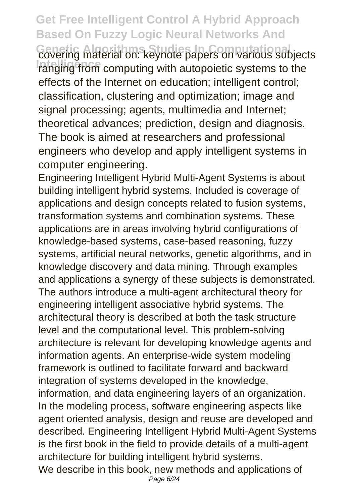**Get Free Intelligent Control A Hybrid Approach Based On Fuzzy Logic Neural Networks And Genetic Algorithms Studies In Computational** covering material on: keynote papers on various subjects **Intellept of the computing with autopoietic systems to the** effects of the Internet on education; intelligent control; classification, clustering and optimization; image and signal processing; agents, multimedia and Internet; theoretical advances; prediction, design and diagnosis. The book is aimed at researchers and professional engineers who develop and apply intelligent systems in computer engineering.

Engineering Intelligent Hybrid Multi-Agent Systems is about building intelligent hybrid systems. Included is coverage of applications and design concepts related to fusion systems. transformation systems and combination systems. These applications are in areas involving hybrid configurations of knowledge-based systems, case-based reasoning, fuzzy systems, artificial neural networks, genetic algorithms, and in knowledge discovery and data mining. Through examples and applications a synergy of these subjects is demonstrated. The authors introduce a multi-agent architectural theory for engineering intelligent associative hybrid systems. The architectural theory is described at both the task structure level and the computational level. This problem-solving architecture is relevant for developing knowledge agents and information agents. An enterprise-wide system modeling framework is outlined to facilitate forward and backward integration of systems developed in the knowledge, information, and data engineering layers of an organization. In the modeling process, software engineering aspects like agent oriented analysis, design and reuse are developed and described. Engineering Intelligent Hybrid Multi-Agent Systems is the first book in the field to provide details of a multi-agent architecture for building intelligent hybrid systems. We describe in this book, new methods and applications of Page 6/24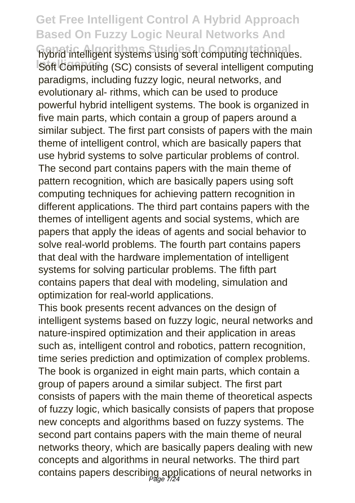**hybrid intelligent systems using soft computing techniques. Soft Computing (SC) consists of several intelligent computing** paradigms, including fuzzy logic, neural networks, and evolutionary al- rithms, which can be used to produce powerful hybrid intelligent systems. The book is organized in five main parts, which contain a group of papers around a similar subject. The first part consists of papers with the main theme of intelligent control, which are basically papers that use hybrid systems to solve particular problems of control. The second part contains papers with the main theme of pattern recognition, which are basically papers using soft computing techniques for achieving pattern recognition in different applications. The third part contains papers with the themes of intelligent agents and social systems, which are papers that apply the ideas of agents and social behavior to solve real-world problems. The fourth part contains papers that deal with the hardware implementation of intelligent systems for solving particular problems. The fifth part contains papers that deal with modeling, simulation and optimization for real-world applications.

This book presents recent advances on the design of intelligent systems based on fuzzy logic, neural networks and nature-inspired optimization and their application in areas such as, intelligent control and robotics, pattern recognition, time series prediction and optimization of complex problems. The book is organized in eight main parts, which contain a group of papers around a similar subject. The first part consists of papers with the main theme of theoretical aspects of fuzzy logic, which basically consists of papers that propose new concepts and algorithms based on fuzzy systems. The second part contains papers with the main theme of neural networks theory, which are basically papers dealing with new concepts and algorithms in neural networks. The third part contains papers describing applications of neural networks in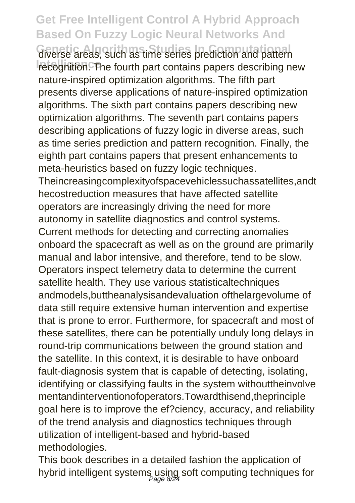**Giverse areas, such as time series prediction and pattern** recognition. The fourth part contains papers describing new nature-inspired optimization algorithms. The fifth part presents diverse applications of nature-inspired optimization algorithms. The sixth part contains papers describing new optimization algorithms. The seventh part contains papers describing applications of fuzzy logic in diverse areas, such as time series prediction and pattern recognition. Finally, the eighth part contains papers that present enhancements to meta-heuristics based on fuzzy logic techniques. Theincreasingcomplexityofspacevehiclessuchassatellites,andt hecostreduction measures that have affected satellite operators are increasingly driving the need for more autonomy in satellite diagnostics and control systems. Current methods for detecting and correcting anomalies onboard the spacecraft as well as on the ground are primarily manual and labor intensive, and therefore, tend to be slow. Operators inspect telemetry data to determine the current satellite health. They use various statisticaltechniques andmodels,buttheanalysisandevaluation ofthelargevolume of data still require extensive human intervention and expertise that is prone to error. Furthermore, for spacecraft and most of these satellites, there can be potentially unduly long delays in round-trip communications between the ground station and the satellite. In this context, it is desirable to have onboard fault-diagnosis system that is capable of detecting, isolating, identifying or classifying faults in the system withouttheinvolve mentandinterventionofoperators.Towardthisend,theprinciple goal here is to improve the ef?ciency, accuracy, and reliability of the trend analysis and diagnostics techniques through utilization of intelligent-based and hybrid-based methodologies.

This book describes in a detailed fashion the application of hybrid intelligent systems using soft computing techniques for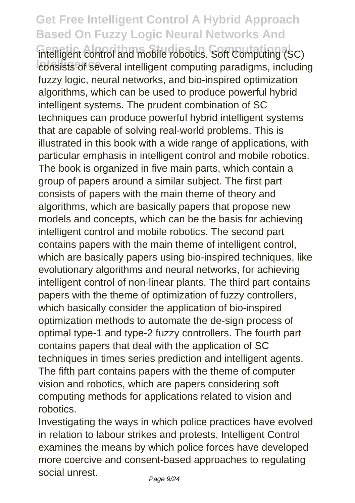intelligent control and mobile robotics. Soft Computing (SC) consists of several intelligent computing paradigms, including fuzzy logic, neural networks, and bio-inspired optimization algorithms, which can be used to produce powerful hybrid intelligent systems. The prudent combination of SC techniques can produce powerful hybrid intelligent systems that are capable of solving real-world problems. This is illustrated in this book with a wide range of applications, with particular emphasis in intelligent control and mobile robotics. The book is organized in five main parts, which contain a group of papers around a similar subject. The first part consists of papers with the main theme of theory and algorithms, which are basically papers that propose new models and concepts, which can be the basis for achieving intelligent control and mobile robotics. The second part contains papers with the main theme of intelligent control, which are basically papers using bio-inspired techniques, like evolutionary algorithms and neural networks, for achieving intelligent control of non-linear plants. The third part contains papers with the theme of optimization of fuzzy controllers, which basically consider the application of bio-inspired optimization methods to automate the de-sign process of optimal type-1 and type-2 fuzzy controllers. The fourth part contains papers that deal with the application of SC techniques in times series prediction and intelligent agents. The fifth part contains papers with the theme of computer vision and robotics, which are papers considering soft computing methods for applications related to vision and robotics.

Investigating the ways in which police practices have evolved in relation to labour strikes and protests, Intelligent Control examines the means by which police forces have developed more coercive and consent-based approaches to regulating social unrest.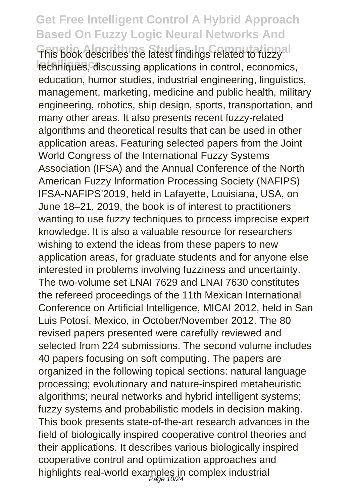**This book describes the latest findings related to fuzzyal** techniques, discussing applications in control, economics, education, humor studies, industrial engineering, linguistics, management, marketing, medicine and public health, military engineering, robotics, ship design, sports, transportation, and many other areas. It also presents recent fuzzy-related algorithms and theoretical results that can be used in other application areas. Featuring selected papers from the Joint World Congress of the International Fuzzy Systems Association (IFSA) and the Annual Conference of the North American Fuzzy Information Processing Society (NAFIPS) IFSA-NAFIPS'2019, held in Lafayette, Louisiana, USA, on June 18–21, 2019, the book is of interest to practitioners wanting to use fuzzy techniques to process imprecise expert knowledge. It is also a valuable resource for researchers wishing to extend the ideas from these papers to new application areas, for graduate students and for anyone else interested in problems involving fuzziness and uncertainty. The two-volume set LNAI 7629 and LNAI 7630 constitutes the refereed proceedings of the 11th Mexican International Conference on Artificial Intelligence, MICAI 2012, held in San Luis Potosí, Mexico, in October/November 2012. The 80 revised papers presented were carefully reviewed and selected from 224 submissions. The second volume includes 40 papers focusing on soft computing. The papers are organized in the following topical sections: natural language processing; evolutionary and nature-inspired metaheuristic algorithms; neural networks and hybrid intelligent systems; fuzzy systems and probabilistic models in decision making. This book presents state-of-the-art research advances in the field of biologically inspired cooperative control theories and their applications. It describes various biologically inspired cooperative control and optimization approaches and highlights real-world examples in complex industrial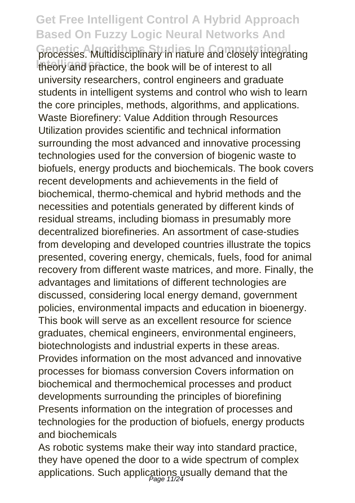**Grocesses. Multidisciplinary in nature and closely integrating** theory and practice, the book will be of interest to all university researchers, control engineers and graduate students in intelligent systems and control who wish to learn the core principles, methods, algorithms, and applications. Waste Biorefinery: Value Addition through Resources Utilization provides scientific and technical information surrounding the most advanced and innovative processing technologies used for the conversion of biogenic waste to biofuels, energy products and biochemicals. The book covers recent developments and achievements in the field of biochemical, thermo-chemical and hybrid methods and the necessities and potentials generated by different kinds of residual streams, including biomass in presumably more decentralized biorefineries. An assortment of case-studies from developing and developed countries illustrate the topics presented, covering energy, chemicals, fuels, food for animal recovery from different waste matrices, and more. Finally, the advantages and limitations of different technologies are discussed, considering local energy demand, government policies, environmental impacts and education in bioenergy. This book will serve as an excellent resource for science graduates, chemical engineers, environmental engineers, biotechnologists and industrial experts in these areas. Provides information on the most advanced and innovative processes for biomass conversion Covers information on biochemical and thermochemical processes and product developments surrounding the principles of biorefining Presents information on the integration of processes and technologies for the production of biofuels, energy products and biochemicals

As robotic systems make their way into standard practice, they have opened the door to a wide spectrum of complex applications. Such applications usually demand that the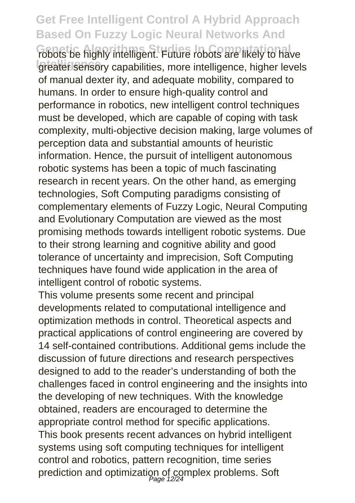robots be highly intelligent. Future robots are likely to have greater sensory capabilities, more intelligence, higher levels of manual dexter ity, and adequate mobility, compared to humans. In order to ensure high-quality control and performance in robotics, new intelligent control techniques must be developed, which are capable of coping with task complexity, multi-objective decision making, large volumes of perception data and substantial amounts of heuristic information. Hence, the pursuit of intelligent autonomous robotic systems has been a topic of much fascinating research in recent years. On the other hand, as emerging technologies, Soft Computing paradigms consisting of complementary elements of Fuzzy Logic, Neural Computing and Evolutionary Computation are viewed as the most promising methods towards intelligent robotic systems. Due to their strong learning and cognitive ability and good tolerance of uncertainty and imprecision, Soft Computing techniques have found wide application in the area of intelligent control of robotic systems.

This volume presents some recent and principal developments related to computational intelligence and optimization methods in control. Theoretical aspects and practical applications of control engineering are covered by 14 self-contained contributions. Additional gems include the discussion of future directions and research perspectives designed to add to the reader's understanding of both the challenges faced in control engineering and the insights into the developing of new techniques. With the knowledge obtained, readers are encouraged to determine the appropriate control method for specific applications. This book presents recent advances on hybrid intelligent systems using soft computing techniques for intelligent control and robotics, pattern recognition, time series prediction and optimization of complex problems. Soft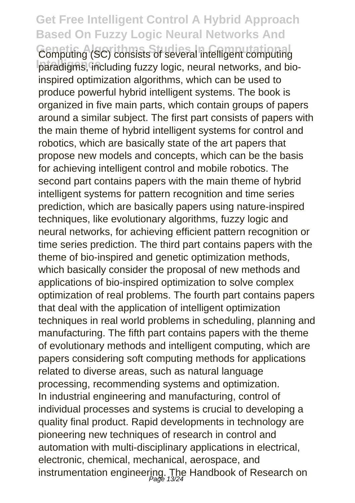Computing (SC) consists of several intelligent computing paradigms, including fuzzy logic, neural networks, and bioinspired optimization algorithms, which can be used to produce powerful hybrid intelligent systems. The book is organized in five main parts, which contain groups of papers around a similar subject. The first part consists of papers with the main theme of hybrid intelligent systems for control and robotics, which are basically state of the art papers that propose new models and concepts, which can be the basis for achieving intelligent control and mobile robotics. The second part contains papers with the main theme of hybrid intelligent systems for pattern recognition and time series prediction, which are basically papers using nature-inspired techniques, like evolutionary algorithms, fuzzy logic and neural networks, for achieving efficient pattern recognition or time series prediction. The third part contains papers with the theme of bio-inspired and genetic optimization methods, which basically consider the proposal of new methods and applications of bio-inspired optimization to solve complex optimization of real problems. The fourth part contains papers that deal with the application of intelligent optimization techniques in real world problems in scheduling, planning and manufacturing. The fifth part contains papers with the theme of evolutionary methods and intelligent computing, which are papers considering soft computing methods for applications related to diverse areas, such as natural language processing, recommending systems and optimization. In industrial engineering and manufacturing, control of individual processes and systems is crucial to developing a quality final product. Rapid developments in technology are pioneering new techniques of research in control and automation with multi-disciplinary applications in electrical, electronic, chemical, mechanical, aerospace, and instrumentation engineering. The Handbook of Research on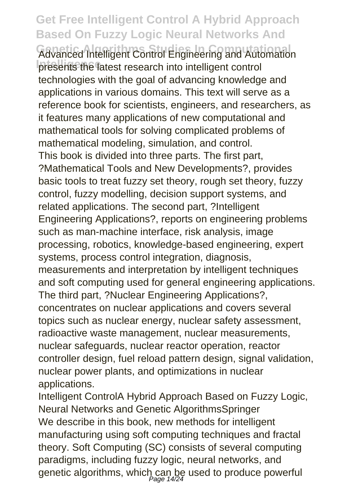**Advanced Intelligent Control Engineering and Automation** presents the latest research into intelligent control technologies with the goal of advancing knowledge and applications in various domains. This text will serve as a reference book for scientists, engineers, and researchers, as it features many applications of new computational and mathematical tools for solving complicated problems of mathematical modeling, simulation, and control. This book is divided into three parts. The first part, ?Mathematical Tools and New Developments?, provides basic tools to treat fuzzy set theory, rough set theory, fuzzy control, fuzzy modelling, decision support systems, and related applications. The second part, ?Intelligent Engineering Applications?, reports on engineering problems such as man-machine interface, risk analysis, image processing, robotics, knowledge-based engineering, expert systems, process control integration, diagnosis, measurements and interpretation by intelligent techniques and soft computing used for general engineering applications. The third part, ?Nuclear Engineering Applications?, concentrates on nuclear applications and covers several topics such as nuclear energy, nuclear safety assessment, radioactive waste management, nuclear measurements, nuclear safeguards, nuclear reactor operation, reactor controller design, fuel reload pattern design, signal validation, nuclear power plants, and optimizations in nuclear applications.

Intelligent ControlA Hybrid Approach Based on Fuzzy Logic, Neural Networks and Genetic AlgorithmsSpringer We describe in this book, new methods for intelligent manufacturing using soft computing techniques and fractal theory. Soft Computing (SC) consists of several computing paradigms, including fuzzy logic, neural networks, and genetic algorithms, which can be used to produce powerful<br>mage 14/24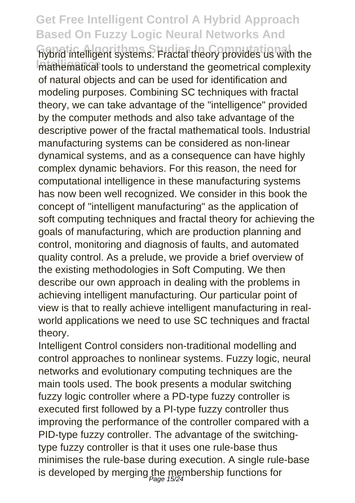hybrid intelligent systems. Fractal theory provides us with the mathematical tools to understand the geometrical complexity of natural objects and can be used for identification and modeling purposes. Combining SC techniques with fractal theory, we can take advantage of the "intelligence" provided by the computer methods and also take advantage of the descriptive power of the fractal mathematical tools. Industrial manufacturing systems can be considered as non-linear dynamical systems, and as a consequence can have highly complex dynamic behaviors. For this reason, the need for computational intelligence in these manufacturing systems has now been well recognized. We consider in this book the concept of "intelligent manufacturing" as the application of soft computing techniques and fractal theory for achieving the goals of manufacturing, which are production planning and control, monitoring and diagnosis of faults, and automated quality control. As a prelude, we provide a brief overview of the existing methodologies in Soft Computing. We then describe our own approach in dealing with the problems in achieving intelligent manufacturing. Our particular point of view is that to really achieve intelligent manufacturing in realworld applications we need to use SC techniques and fractal theory.

Intelligent Control considers non-traditional modelling and control approaches to nonlinear systems. Fuzzy logic, neural networks and evolutionary computing techniques are the main tools used. The book presents a modular switching fuzzy logic controller where a PD-type fuzzy controller is executed first followed by a PI-type fuzzy controller thus improving the performance of the controller compared with a PID-type fuzzy controller. The advantage of the switchingtype fuzzy controller is that it uses one rule-base thus minimises the rule-base during execution. A single rule-base is developed by merging the membership functions for<br> $\frac{\rho_{\text{age}}}{\rho_{\text{age}}}$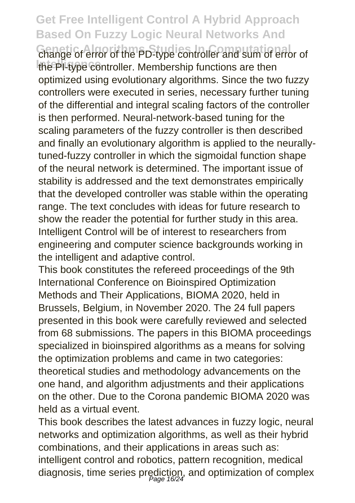**Change of error of the PD-type controller and sum of error of** the PI-type controller. Membership functions are then optimized using evolutionary algorithms. Since the two fuzzy controllers were executed in series, necessary further tuning of the differential and integral scaling factors of the controller is then performed. Neural-network-based tuning for the scaling parameters of the fuzzy controller is then described and finally an evolutionary algorithm is applied to the neurallytuned-fuzzy controller in which the sigmoidal function shape of the neural network is determined. The important issue of stability is addressed and the text demonstrates empirically that the developed controller was stable within the operating range. The text concludes with ideas for future research to show the reader the potential for further study in this area. Intelligent Control will be of interest to researchers from engineering and computer science backgrounds working in the intelligent and adaptive control.

This book constitutes the refereed proceedings of the 9th International Conference on Bioinspired Optimization Methods and Their Applications, BIOMA 2020, held in Brussels, Belgium, in November 2020. The 24 full papers presented in this book were carefully reviewed and selected from 68 submissions. The papers in this BIOMA proceedings specialized in bioinspired algorithms as a means for solving the optimization problems and came in two categories: theoretical studies and methodology advancements on the one hand, and algorithm adjustments and their applications on the other. Due to the Corona pandemic BIOMA 2020 was held as a virtual event.

This book describes the latest advances in fuzzy logic, neural networks and optimization algorithms, as well as their hybrid combinations, and their applications in areas such as: intelligent control and robotics, pattern recognition, medical diagnosis, time series prediction, and optimization of complex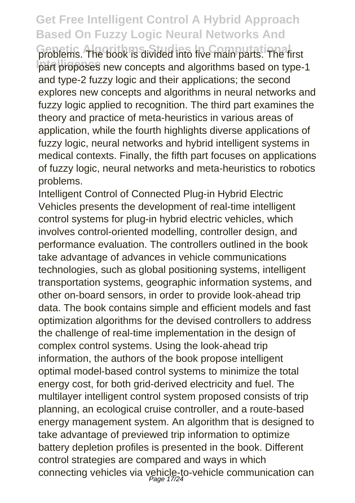problems. The book is divided into five main parts. The first part proposes new concepts and algorithms based on type-1 and type-2 fuzzy logic and their applications; the second explores new concepts and algorithms in neural networks and fuzzy logic applied to recognition. The third part examines the theory and practice of meta-heuristics in various areas of application, while the fourth highlights diverse applications of fuzzy logic, neural networks and hybrid intelligent systems in medical contexts. Finally, the fifth part focuses on applications of fuzzy logic, neural networks and meta-heuristics to robotics problems.

Intelligent Control of Connected Plug-in Hybrid Electric Vehicles presents the development of real-time intelligent control systems for plug-in hybrid electric vehicles, which involves control-oriented modelling, controller design, and performance evaluation. The controllers outlined in the book take advantage of advances in vehicle communications technologies, such as global positioning systems, intelligent transportation systems, geographic information systems, and other on-board sensors, in order to provide look-ahead trip data. The book contains simple and efficient models and fast optimization algorithms for the devised controllers to address the challenge of real-time implementation in the design of complex control systems. Using the look-ahead trip information, the authors of the book propose intelligent optimal model-based control systems to minimize the total energy cost, for both grid-derived electricity and fuel. The multilayer intelligent control system proposed consists of trip planning, an ecological cruise controller, and a route-based energy management system. An algorithm that is designed to take advantage of previewed trip information to optimize battery depletion profiles is presented in the book. Different control strategies are compared and ways in which connecting vehicles via vehicle-to-vehicle communication can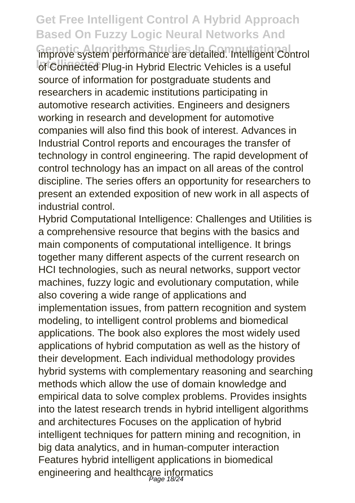**Improve system performance are detailed. Intelligent Control** of Connected Plug-in Hybrid Electric Vehicles is a useful source of information for postgraduate students and researchers in academic institutions participating in automotive research activities. Engineers and designers working in research and development for automotive companies will also find this book of interest. Advances in Industrial Control reports and encourages the transfer of technology in control engineering. The rapid development of control technology has an impact on all areas of the control discipline. The series offers an opportunity for researchers to present an extended exposition of new work in all aspects of industrial control.

Hybrid Computational Intelligence: Challenges and Utilities is a comprehensive resource that begins with the basics and main components of computational intelligence. It brings together many different aspects of the current research on HCI technologies, such as neural networks, support vector machines, fuzzy logic and evolutionary computation, while also covering a wide range of applications and implementation issues, from pattern recognition and system modeling, to intelligent control problems and biomedical applications. The book also explores the most widely used applications of hybrid computation as well as the history of their development. Each individual methodology provides hybrid systems with complementary reasoning and searching methods which allow the use of domain knowledge and empirical data to solve complex problems. Provides insights into the latest research trends in hybrid intelligent algorithms and architectures Focuses on the application of hybrid intelligent techniques for pattern mining and recognition, in big data analytics, and in human-computer interaction Features hybrid intelligent applications in biomedical engineering and healthcare informatics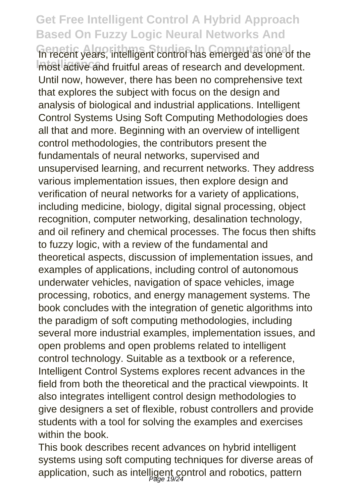**In recent years, intelligent control has emerged as one of the** most active and fruitful areas of research and development. Until now, however, there has been no comprehensive text that explores the subject with focus on the design and analysis of biological and industrial applications. Intelligent Control Systems Using Soft Computing Methodologies does all that and more. Beginning with an overview of intelligent control methodologies, the contributors present the fundamentals of neural networks, supervised and unsupervised learning, and recurrent networks. They address various implementation issues, then explore design and verification of neural networks for a variety of applications, including medicine, biology, digital signal processing, object recognition, computer networking, desalination technology, and oil refinery and chemical processes. The focus then shifts to fuzzy logic, with a review of the fundamental and theoretical aspects, discussion of implementation issues, and examples of applications, including control of autonomous underwater vehicles, navigation of space vehicles, image processing, robotics, and energy management systems. The book concludes with the integration of genetic algorithms into the paradigm of soft computing methodologies, including several more industrial examples, implementation issues, and open problems and open problems related to intelligent control technology. Suitable as a textbook or a reference, Intelligent Control Systems explores recent advances in the field from both the theoretical and the practical viewpoints. It also integrates intelligent control design methodologies to give designers a set of flexible, robust controllers and provide students with a tool for solving the examples and exercises within the book.

This book describes recent advances on hybrid intelligent systems using soft computing techniques for diverse areas of application, such as intelligent control and robotics, pattern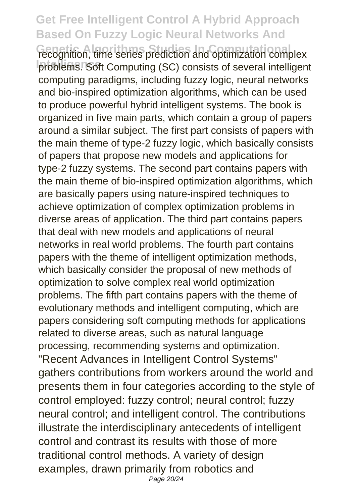**Fecognition, time series prediction and optimization complex** problems. Soft Computing (SC) consists of several intelligent computing paradigms, including fuzzy logic, neural networks and bio-inspired optimization algorithms, which can be used to produce powerful hybrid intelligent systems. The book is organized in five main parts, which contain a group of papers around a similar subject. The first part consists of papers with the main theme of type-2 fuzzy logic, which basically consists of papers that propose new models and applications for type-2 fuzzy systems. The second part contains papers with the main theme of bio-inspired optimization algorithms, which are basically papers using nature-inspired techniques to achieve optimization of complex optimization problems in diverse areas of application. The third part contains papers that deal with new models and applications of neural networks in real world problems. The fourth part contains papers with the theme of intelligent optimization methods, which basically consider the proposal of new methods of optimization to solve complex real world optimization problems. The fifth part contains papers with the theme of evolutionary methods and intelligent computing, which are papers considering soft computing methods for applications related to diverse areas, such as natural language processing, recommending systems and optimization. "Recent Advances in Intelligent Control Systems" gathers contributions from workers around the world and presents them in four categories according to the style of control employed: fuzzy control; neural control; fuzzy neural control; and intelligent control. The contributions illustrate the interdisciplinary antecedents of intelligent control and contrast its results with those of more traditional control methods. A variety of design examples, drawn primarily from robotics and Page 20/24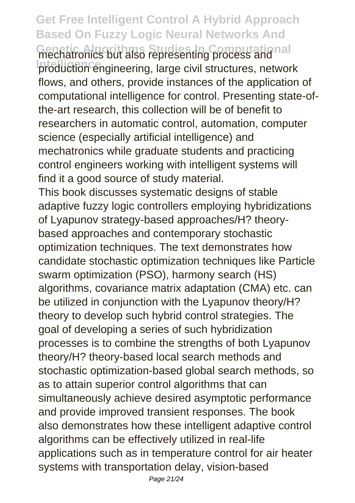**Get Free Intelligent Control A Hybrid Approach Based On Fuzzy Logic Neural Networks And Genetic Algorithms Studies In Computational** production engineering, large civil structures, network flows, and others, provide instances of the application of computational intelligence for control. Presenting state-ofthe-art research, this collection will be of benefit to researchers in automatic control, automation, computer science (especially artificial intelligence) and mechatronics while graduate students and practicing control engineers working with intelligent systems will find it a good source of study material. This book discusses systematic designs of stable adaptive fuzzy logic controllers employing hybridizations of Lyapunov strategy-based approaches/H? theorybased approaches and contemporary stochastic optimization techniques. The text demonstrates how candidate stochastic optimization techniques like Particle swarm optimization (PSO), harmony search (HS) algorithms, covariance matrix adaptation (CMA) etc. can be utilized in conjunction with the Lyapunov theory/H? theory to develop such hybrid control strategies. The goal of developing a series of such hybridization processes is to combine the strengths of both Lyapunov theory/H? theory-based local search methods and stochastic optimization-based global search methods, so as to attain superior control algorithms that can simultaneously achieve desired asymptotic performance and provide improved transient responses. The book also demonstrates how these intelligent adaptive control algorithms can be effectively utilized in real-life applications such as in temperature control for air heater systems with transportation delay, vision-based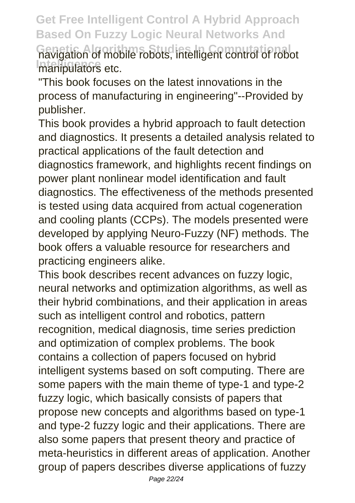**Get Free Intelligent Control A Hybrid Approach Based On Fuzzy Logic Neural Networks And Genetic Algorithms Studies In Computational** navigation of mobile robots, intelligent control of robot manipulators etc.

"This book focuses on the latest innovations in the process of manufacturing in engineering"--Provided by publisher.

This book provides a hybrid approach to fault detection and diagnostics. It presents a detailed analysis related to practical applications of the fault detection and diagnostics framework, and highlights recent findings on power plant nonlinear model identification and fault diagnostics. The effectiveness of the methods presented is tested using data acquired from actual cogeneration and cooling plants (CCPs). The models presented were developed by applying Neuro-Fuzzy (NF) methods. The book offers a valuable resource for researchers and practicing engineers alike.

This book describes recent advances on fuzzy logic, neural networks and optimization algorithms, as well as their hybrid combinations, and their application in areas such as intelligent control and robotics, pattern recognition, medical diagnosis, time series prediction and optimization of complex problems. The book contains a collection of papers focused on hybrid intelligent systems based on soft computing. There are some papers with the main theme of type-1 and type-2 fuzzy logic, which basically consists of papers that propose new concepts and algorithms based on type-1 and type-2 fuzzy logic and their applications. There are also some papers that present theory and practice of meta-heuristics in different areas of application. Another group of papers describes diverse applications of fuzzy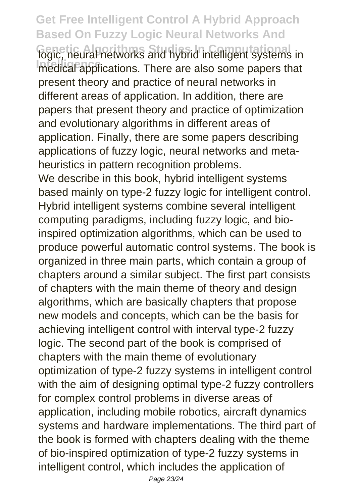**Get Free Intelligent Control A Hybrid Approach Based On Fuzzy Logic Neural Networks And** logic, neural networks and hybrid intelligent systems in **Intelligence in the area is a come papers that** present theory and practice of neural networks in different areas of application. In addition, there are papers that present theory and practice of optimization and evolutionary algorithms in different areas of application. Finally, there are some papers describing applications of fuzzy logic, neural networks and metaheuristics in pattern recognition problems. We describe in this book, hybrid intelligent systems based mainly on type-2 fuzzy logic for intelligent control. Hybrid intelligent systems combine several intelligent computing paradigms, including fuzzy logic, and bioinspired optimization algorithms, which can be used to produce powerful automatic control systems. The book is organized in three main parts, which contain a group of chapters around a similar subject. The first part consists of chapters with the main theme of theory and design algorithms, which are basically chapters that propose new models and concepts, which can be the basis for achieving intelligent control with interval type-2 fuzzy logic. The second part of the book is comprised of chapters with the main theme of evolutionary optimization of type-2 fuzzy systems in intelligent control with the aim of designing optimal type-2 fuzzy controllers for complex control problems in diverse areas of application, including mobile robotics, aircraft dynamics systems and hardware implementations. The third part of the book is formed with chapters dealing with the theme of bio-inspired optimization of type-2 fuzzy systems in intelligent control, which includes the application of